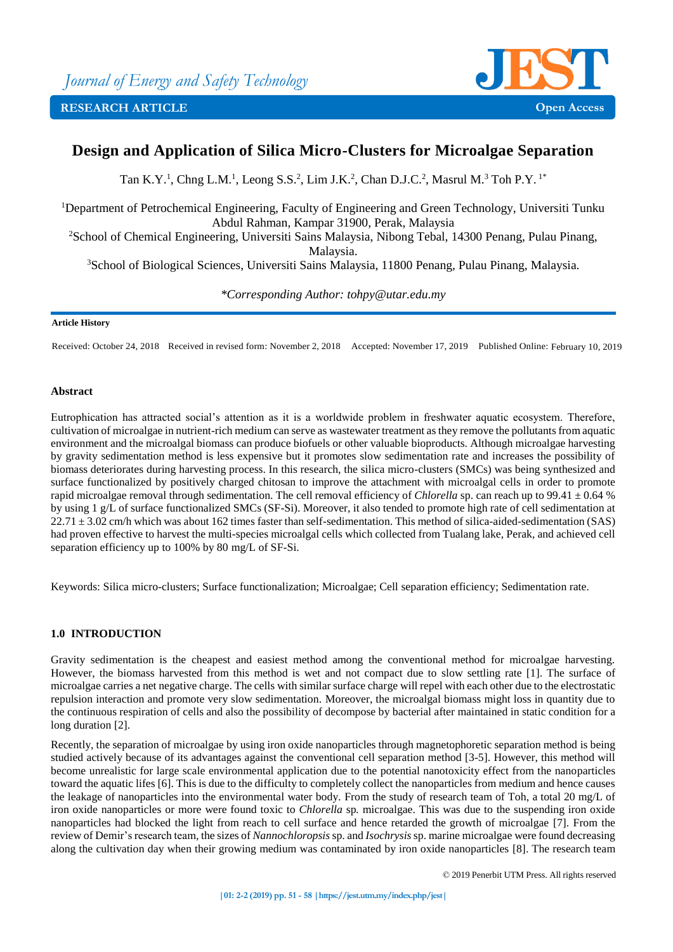



# **Design and Application of Silica Micro-Clusters for Microalgae Separation**

Tan K.Y.<sup>1</sup>, Chng L.M.<sup>1</sup>, Leong S.S.<sup>2</sup>, Lim J.K.<sup>2</sup>, Chan D.J.C.<sup>2</sup>, Masrul M.<sup>3</sup> Toh P.Y.<sup>1\*</sup>

<sup>1</sup>Department of Petrochemical Engineering, Faculty of Engineering and Green Technology, Universiti Tunku Abdul Rahman, Kampar 31900, Perak, Malaysia

<sup>2</sup>School of Chemical Engineering, Universiti Sains Malaysia, Nibong Tebal, 14300 Penang, Pulau Pinang, Malaysia.

<sup>3</sup>School of Biological Sciences, Universiti Sains Malaysia, 11800 Penang, Pulau Pinang, Malaysia.

*\*Corresponding Author: [tohpy@utar.edu.my](mailto:tohpy@utar.edu.my)*

# **Article History**

Received: October 24, 2018 Received in revised form: November 2, 2018 Accepted: November 17, 2019 Published Online: February 10, 2019

# **Abstract**

Eutrophication has attracted social's attention as it is a worldwide problem in freshwater aquatic ecosystem. Therefore, cultivation of microalgae in nutrient-rich medium can serve as wastewater treatment as they remove the pollutants from aquatic environment and the microalgal biomass can produce biofuels or other valuable bioproducts. Although microalgae harvesting by gravity sedimentation method is less expensive but it promotes slow sedimentation rate and increases the possibility of biomass deteriorates during harvesting process. In this research, the silica micro-clusters (SMCs) was being synthesized and surface functionalized by positively charged chitosan to improve the attachment with microalgal cells in order to promote rapid microalgae removal through sedimentation. The cell removal efficiency of *Chlorella* sp. can reach up to 99.41 ± 0.64 % by using 1 g/L of surface functionalized SMCs (SF-Si). Moreover, it also tended to promote high rate of cell sedimentation at  $22.71 \pm 3.02$  cm/h which was about 162 times faster than self-sedimentation. This method of silica-aided-sedimentation (SAS) had proven effective to harvest the multi-species microalgal cells which collected from Tualang lake, Perak, and achieved cell separation efficiency up to 100% by 80 mg/L of SF-Si.

Keywords: Silica micro-clusters; Surface functionalization; Microalgae; Cell separation efficiency; Sedimentation rate.

# **1.0 INTRODUCTION**

Gravity sedimentation is the cheapest and easiest method among the conventional method for microalgae harvesting. However, the biomass harvested from this method is wet and not compact due to slow settling rate [1]. The surface of microalgae carries a net negative charge. The cells with similar surface charge will repel with each other due to the electrostatic repulsion interaction and promote very slow sedimentation. Moreover, the microalgal biomass might loss in quantity due to the continuous respiration of cells and also the possibility of decompose by bacterial after maintained in static condition for a long duration [2].

Recently, the separation of microalgae by using iron oxide nanoparticles through magnetophoretic separation method is being studied actively because of its advantages against the conventional cell separation method [3-5]. However, this method will become unrealistic for large scale environmental application due to the potential nanotoxicity effect from the nanoparticles toward the aquatic lifes [6]. This is due to the difficulty to completely collect the nanoparticles from medium and hence causes the leakage of nanoparticles into the environmental water body. From the study of research team of Toh, a total 20 mg/L of iron oxide nanoparticles or more were found toxic to *Chlorella* sp*.* microalgae. This was due to the suspending iron oxide nanoparticles had blocked the light from reach to cell surface and hence retarded the growth of microalgae [7]. From the review of Demir's research team, the sizes of *Nannochloropsis*sp. and *Isochrysis*sp. marine microalgae were found decreasing along the cultivation day when their growing medium was contaminated by iron oxide nanoparticles [8]. The research team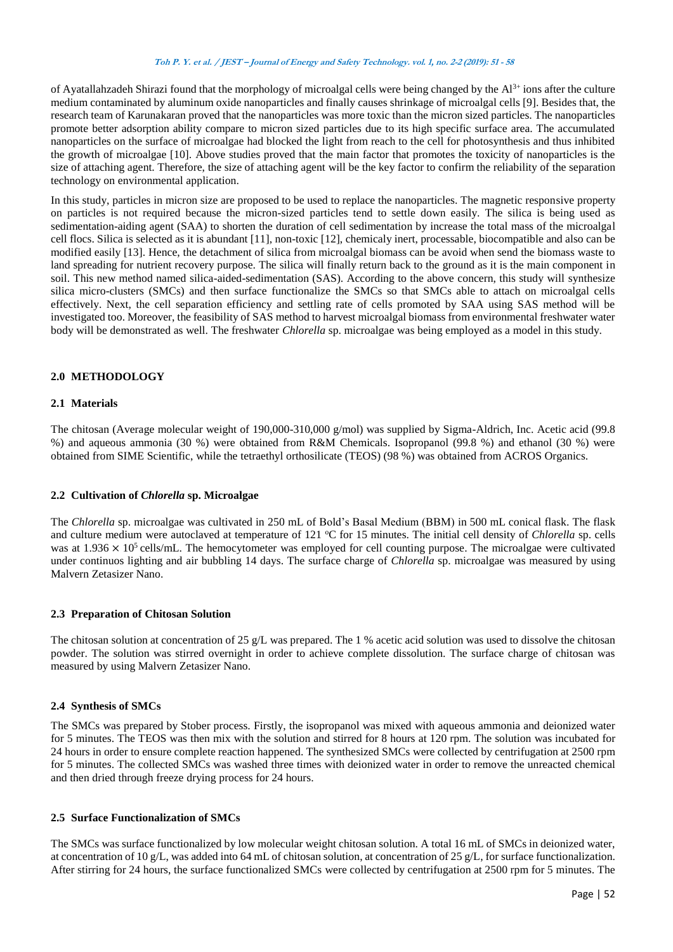of Ayatallahzadeh Shirazi found that the morphology of microalgal cells were being changed by the  $Al^{3+}$  ions after the culture medium contaminated by aluminum oxide nanoparticles and finally causes shrinkage of microalgal cells [9]. Besides that, the research team of Karunakaran proved that the nanoparticles was more toxic than the micron sized particles. The nanoparticles promote better adsorption ability compare to micron sized particles due to its high specific surface area. The accumulated nanoparticles on the surface of microalgae had blocked the light from reach to the cell for photosynthesis and thus inhibited the growth of microalgae [10]. Above studies proved that the main factor that promotes the toxicity of nanoparticles is the size of attaching agent. Therefore, the size of attaching agent will be the key factor to confirm the reliability of the separation technology on environmental application.

In this study, particles in micron size are proposed to be used to replace the nanoparticles. The magnetic responsive property on particles is not required because the micron-sized particles tend to settle down easily. The silica is being used as sedimentation-aiding agent (SAA) to shorten the duration of cell sedimentation by increase the total mass of the microalgal cell flocs. Silica is selected as it is abundant [11], non-toxic [12], chemicaly inert, processable, biocompatible and also can be modified easily [13]. Hence, the detachment of silica from microalgal biomass can be avoid when send the biomass waste to land spreading for nutrient recovery purpose. The silica will finally return back to the ground as it is the main component in soil. This new method named silica-aided-sedimentation (SAS). According to the above concern, this study will synthesize silica micro-clusters (SMCs) and then surface functionalize the SMCs so that SMCs able to attach on microalgal cells effectively. Next, the cell separation efficiency and settling rate of cells promoted by SAA using SAS method will be investigated too. Moreover, the feasibility of SAS method to harvest microalgal biomass from environmental freshwater water body will be demonstrated as well. The freshwater *Chlorella* sp. microalgae was being employed as a model in this study.

# **2.0 METHODOLOGY**

# **2.1 Materials**

The chitosan (Average molecular weight of 190,000-310,000 g/mol) was supplied by Sigma-Aldrich, Inc. Acetic acid (99.8 %) and aqueous ammonia (30 %) were obtained from R&M Chemicals. Isopropanol (99.8 %) and ethanol (30 %) were obtained from SIME Scientific, while the tetraethyl orthosilicate (TEOS) (98 %) was obtained from ACROS Organics.

# **2.2 Cultivation of** *Chlorella* **sp. Microalgae**

The *Chlorella* sp. microalgae was cultivated in 250 mL of Bold's Basal Medium (BBM) in 500 mL conical flask. The flask and culture medium were autoclaved at temperature of 121 °C for 15 minutes. The initial cell density of *Chlorella* sp. cells was at  $1.936 \times 10^5$  cells/mL. The hemocytometer was employed for cell counting purpose. The microalgae were cultivated under continuos lighting and air bubbling 14 days. The surface charge of *Chlorella* sp. microalgae was measured by using Malvern Zetasizer Nano.

# **2.3 Preparation of Chitosan Solution**

The chitosan solution at concentration of 25 g/L was prepared. The 1 % acetic acid solution was used to dissolve the chitosan powder. The solution was stirred overnight in order to achieve complete dissolution. The surface charge of chitosan was measured by using Malvern Zetasizer Nano.

# **2.4 Synthesis of SMCs**

The SMCs was prepared by Stober process. Firstly, the isopropanol was mixed with aqueous ammonia and deionized water for 5 minutes. The TEOS was then mix with the solution and stirred for 8 hours at 120 rpm. The solution was incubated for 24 hours in order to ensure complete reaction happened. The synthesized SMCs were collected by centrifugation at 2500 rpm for 5 minutes. The collected SMCs was washed three times with deionized water in order to remove the unreacted chemical and then dried through freeze drying process for 24 hours.

# **2.5 Surface Functionalization of SMCs**

The SMCs was surface functionalized by low molecular weight chitosan solution. A total 16 mL of SMCs in deionized water, at concentration of 10 g/L, was added into 64 mL of chitosan solution, at concentration of 25 g/L, for surface functionalization. After stirring for 24 hours, the surface functionalized SMCs were collected by centrifugation at 2500 rpm for 5 minutes. The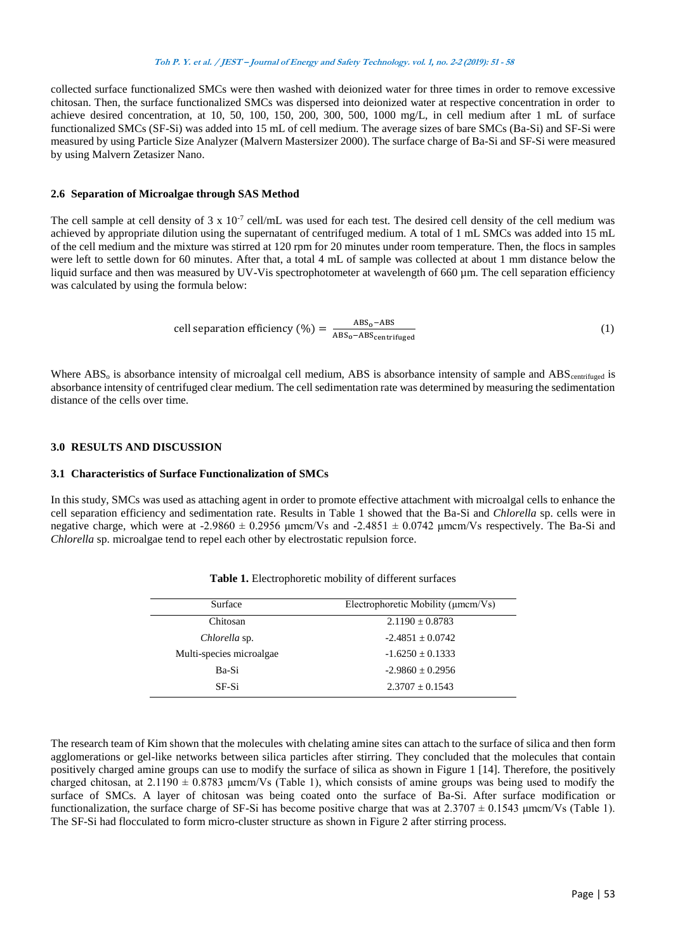collected surface functionalized SMCs were then washed with deionized water for three times in order to remove excessive chitosan. Then, the surface functionalized SMCs was dispersed into deionized water at respective concentration in order to achieve desired concentration, at 10, 50, 100, 150, 200, 300, 500, 1000 mg/L, in cell medium after 1 mL of surface functionalized SMCs (SF-Si) was added into 15 mL of cell medium. The average sizes of bare SMCs (Ba-Si) and SF-Si were measured by using Particle Size Analyzer (Malvern Mastersizer 2000). The surface charge of Ba-Si and SF-Si were measured by using Malvern Zetasizer Nano.

### **2.6 Separation of Microalgae through SAS Method**

The cell sample at cell density of  $3 \times 10^{-7}$  cell/mL was used for each test. The desired cell density of the cell medium was achieved by appropriate dilution using the supernatant of centrifuged medium. A total of 1 mL SMCs was added into 15 mL of the cell medium and the mixture was stirred at 120 rpm for 20 minutes under room temperature. Then, the flocs in samples were left to settle down for 60 minutes. After that, a total 4 mL of sample was collected at about 1 mm distance below the liquid surface and then was measured by UV-Vis spectrophotometer at wavelength of 660 µm. The cell separation efficiency was calculated by using the formula below:

cell separation efficiency (
$$
\% = \frac{ABS_0 - ABS}{ABS_0 - ABS_{centrifuged}}
$$
 (1)

Where  $ABS_0$  is absorbance intensity of microalgal cell medium,  $ABS$  is absorbance intensity of sample and  $ABS_{centrifued}}$  is absorbance intensity of centrifuged clear medium. The cell sedimentation rate was determined by measuring the sedimentation distance of the cells over time.

# **3.0 RESULTS AND DISCUSSION**

### **3.1 Characteristics of Surface Functionalization of SMCs**

In this study, SMCs was used as attaching agent in order to promote effective attachment with microalgal cells to enhance the cell separation efficiency and sedimentation rate. Results in Table 1 showed that the Ba-Si and *Chlorella* sp. cells were in negative charge, which were at -2.9860  $\pm$  0.2956 μmcm/Vs and -2.4851  $\pm$  0.0742 μmcm/Vs respectively. The Ba-Si and *Chlorella* sp. microalgae tend to repel each other by electrostatic repulsion force.

| Surface                  | Electrophoretic Mobility ( $\mu$ mcm/Vs) |
|--------------------------|------------------------------------------|
| Chitosan                 | $2.1190 \pm 0.8783$                      |
| Chlorella sp.            | $-2.4851 \pm 0.0742$                     |
| Multi-species microalgae | $-1.6250 + 0.1333$                       |
| Ba-Si                    | $-2.9860 + 0.2956$                       |
| <b>SF-Si</b>             | $2.3707 + 0.1543$                        |

The research team of Kim shown that the molecules with chelating amine sites can attach to the surface of silica and then form agglomerations or gel-like networks between silica particles after stirring. They concluded that the molecules that contain positively charged amine groups can use to modify the surface of silica as shown in Figure 1 [14]. Therefore, the positively charged chitosan, at  $2.1190 \pm 0.8783$  µmcm/Vs (Table 1), which consists of amine groups was being used to modify the surface of SMCs. A layer of chitosan was being coated onto the surface of Ba-Si. After surface modification or functionalization, the surface charge of SF-Si has become positive charge that was at  $2.3707 \pm 0.1543$  µmcm/Vs (Table 1). The SF-Si had flocculated to form micro-cluster structure as shown in Figure 2 after stirring process.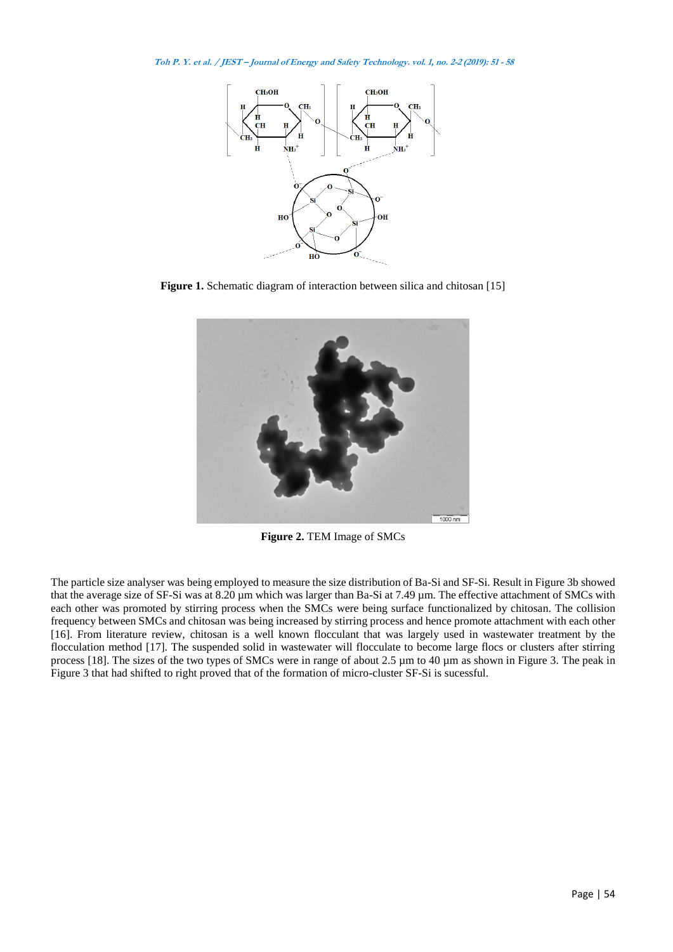

**Figure 1.** Schematic diagram of interaction between silica and chitosan [15]



**Figure 2.** TEM Image of SMCs

The particle size analyser was being employed to measure the size distribution of Ba-Si and SF-Si. Result in Figure 3b showed that the average size of SF-Si was at 8.20  $\mu$ m which was larger than Ba-Si at 7.49  $\mu$ m. The effective attachment of SMCs with each other was promoted by stirring process when the SMCs were being surface functionalized by chitosan. The collision frequency between SMCs and chitosan was being increased by stirring process and hence promote attachment with each other [16]. From literature review, chitosan is a well known flocculant that was largely used in wastewater treatment by the flocculation method [17]. The suspended solid in wastewater will flocculate to become large flocs or clusters after stirring process [18]. The sizes of the two types of SMCs were in range of about 2.5  $\mu$ m to 40  $\mu$ m as shown in Figure 3. The peak in Figure 3 that had shifted to right proved that of the formation of micro-cluster SF-Si is sucessful.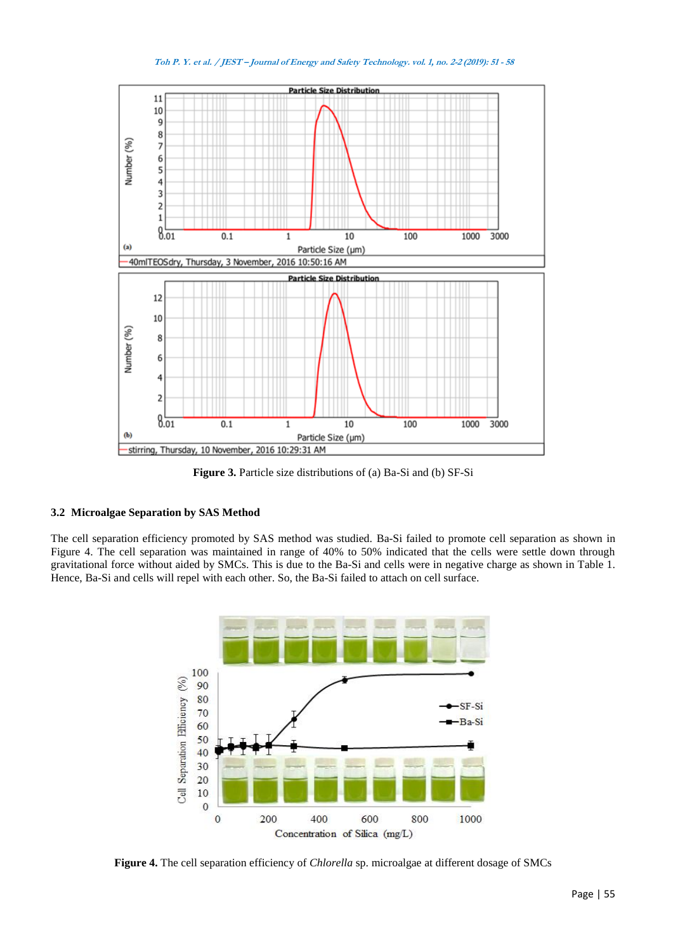

**Figure 3.** Particle size distributions of (a) Ba-Si and (b) SF-Si

# **3.2 Microalgae Separation by SAS Method**

The cell separation efficiency promoted by SAS method was studied. Ba-Si failed to promote cell separation as shown in Figure 4. The cell separation was maintained in range of 40% to 50% indicated that the cells were settle down through gravitational force without aided by SMCs. This is due to the Ba-Si and cells were in negative charge as shown in Table 1. Hence, Ba-Si and cells will repel with each other. So, the Ba-Si failed to attach on cell surface.



**Figure 4.** The cell separation efficiency of *Chlorella* sp. microalgae at different dosage of SMCs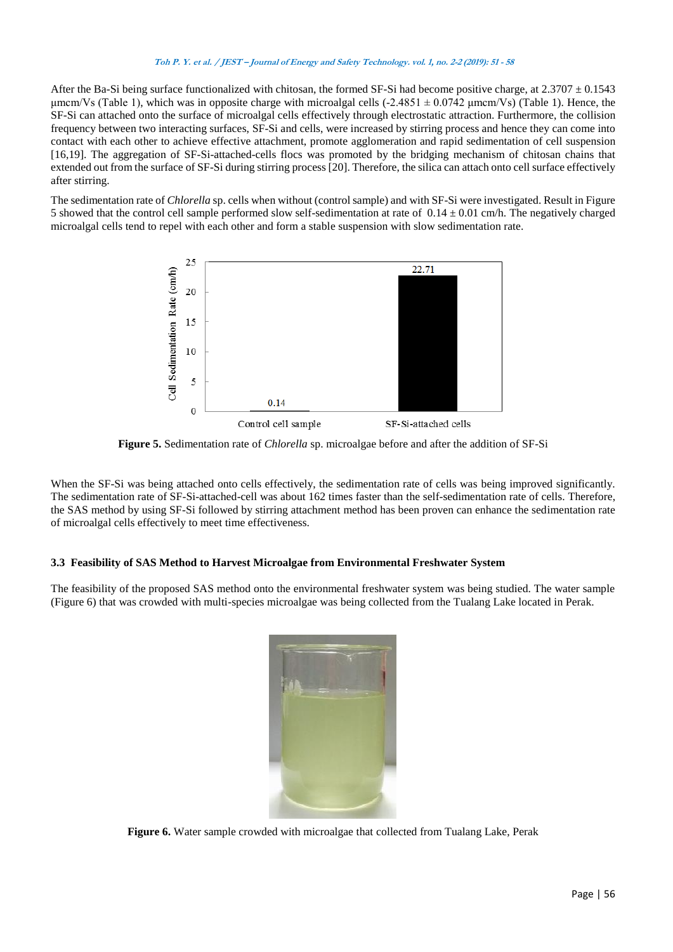After the Ba-Si being surface functionalized with chitosan, the formed SF-Si had become positive charge, at  $2.3707 \pm 0.1543$ μmcm/Vs (Table 1), which was in opposite charge with microalgal cells (-2.4851  $\pm$  0.0742 μmcm/Vs) (Table 1). Hence, the SF-Si can attached onto the surface of microalgal cells effectively through electrostatic attraction. Furthermore, the collision frequency between two interacting surfaces, SF-Si and cells, were increased by stirring process and hence they can come into contact with each other to achieve effective attachment, promote agglomeration and rapid sedimentation of cell suspension [16,19]. The aggregation of SF-Si-attached-cells flocs was promoted by the bridging mechanism of chitosan chains that extended out from the surface of SF-Si during stirring process [20]. Therefore, the silica can attach onto cell surface effectively after stirring.

The sedimentation rate of *Chlorella* sp. cells when without (control sample) and with SF-Si were investigated. Result in Figure 5 showed that the control cell sample performed slow self-sedimentation at rate of  $0.14 \pm 0.01$  cm/h. The negatively charged microalgal cells tend to repel with each other and form a stable suspension with slow sedimentation rate.



**Figure 5.** Sedimentation rate of *Chlorella* sp. microalgae before and after the addition of SF-Si

When the SF-Si was being attached onto cells effectively, the sedimentation rate of cells was being improved significantly. The sedimentation rate of SF-Si-attached-cell was about 162 times faster than the self-sedimentation rate of cells. Therefore, the SAS method by using SF-Si followed by stirring attachment method has been proven can enhance the sedimentation rate of microalgal cells effectively to meet time effectiveness.

# **3.3 Feasibility of SAS Method to Harvest Microalgae from Environmental Freshwater System**

The feasibility of the proposed SAS method onto the environmental freshwater system was being studied. The water sample (Figure 6) that was crowded with multi-species microalgae was being collected from the Tualang Lake located in Perak.



**Figure 6.** Water sample crowded with microalgae that collected from Tualang Lake, Perak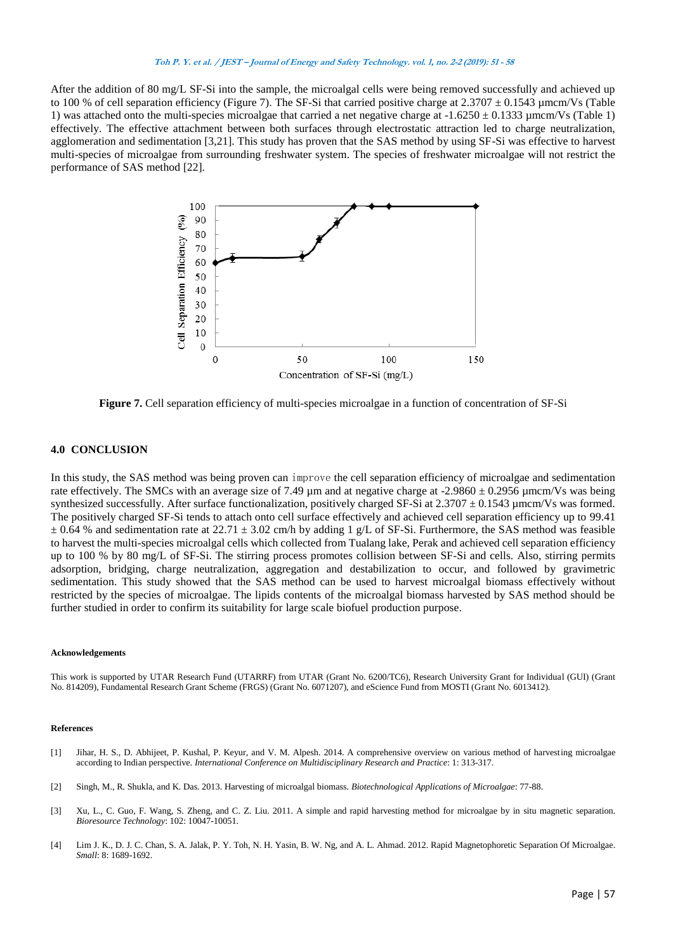After the addition of 80 mg/L SF-Si into the sample, the microalgal cells were being removed successfully and achieved up to 100 % of cell separation efficiency (Figure 7). The SF-Si that carried positive charge at  $2.3707 \pm 0.1543$  µmcm/Vs (Table 1) was attached onto the multi-species microalgae that carried a net negative charge at  $-1.6250 \pm 0.1333$  µmcm/Vs (Table 1) effectively. The effective attachment between both surfaces through electrostatic attraction led to charge neutralization, agglomeration and sedimentation [3,21]. This study has proven that the SAS method by using SF-Si was effective to harvest multi-species of microalgae from surrounding freshwater system. The species of freshwater microalgae will not restrict the performance of SAS method [22].



**Figure 7.** Cell separation efficiency of multi-species microalgae in a function of concentration of SF-Si

### **4.0 CONCLUSION**

In this study, the SAS method was being proven can improve the cell separation efficiency of microalgae and sedimentation rate effectively. The SMCs with an average size of 7.49  $\mu$ m and at negative charge at -2.9860  $\pm$  0.2956  $\mu$ mcm/Vs was being synthesized successfully. After surface functionalization, positively charged SF-Si at  $2.3707 \pm 0.1543$  µmcm/Vs was formed. The positively charged SF-Si tends to attach onto cell surface effectively and achieved cell separation efficiency up to 99.41  $\pm$  0.64 % and sedimentation rate at 22.71  $\pm$  3.02 cm/h by adding 1 g/L of SF-Si. Furthermore, the SAS method was feasible to harvest the multi-species microalgal cells which collected from Tualang lake, Perak and achieved cell separation efficiency up to 100 % by 80 mg/L of SF-Si. The stirring process promotes collision between SF-Si and cells. Also, stirring permits adsorption, bridging, charge neutralization, aggregation and destabilization to occur, and followed by gravimetric sedimentation. This study showed that the SAS method can be used to harvest microalgal biomass effectively without restricted by the species of microalgae. The lipids contents of the microalgal biomass harvested by SAS method should be further studied in order to confirm its suitability for large scale biofuel production purpose.

#### **Acknowledgements**

This work is supported by UTAR Research Fund (UTARRF) from UTAR (Grant No. 6200/TC6), Research University Grant for Individual (GUI) (Grant No. 814209), Fundamental Research Grant Scheme (FRGS) (Grant No. 6071207), and eScience Fund from MOSTI (Grant No. 6013412).

#### **References**

- [1] Jihar, H. S., D. Abhijeet, P. Kushal, P. Keyur, and V. M. Alpesh. 2014. A comprehensive overview on various method of harvesting microalgae according to Indian perspective. *International Conference on Multidisciplinary Research and Practice*: 1: 313-317.
- [2] Singh, M., R. Shukla, and K. Das. 2013. Harvesting of microalgal biomass. *Biotechnological Applications of Microalgae*: 77-88.
- [3] Xu, L., C. Guo, F. Wang, S. Zheng, and C. Z. Liu. 2011. A simple and rapid harvesting method for microalgae by in situ magnetic separation. *Bioresource Technology*: 102: 10047-10051.
- [4] Lim J. K., D. J. C. Chan, S. A. Jalak, P. Y. Toh, N. H. Yasin, B. W. Ng, and A. L. Ahmad. 2012. Rapid Magnetophoretic Separation Of Microalgae. *Small*: 8: 1689-1692.